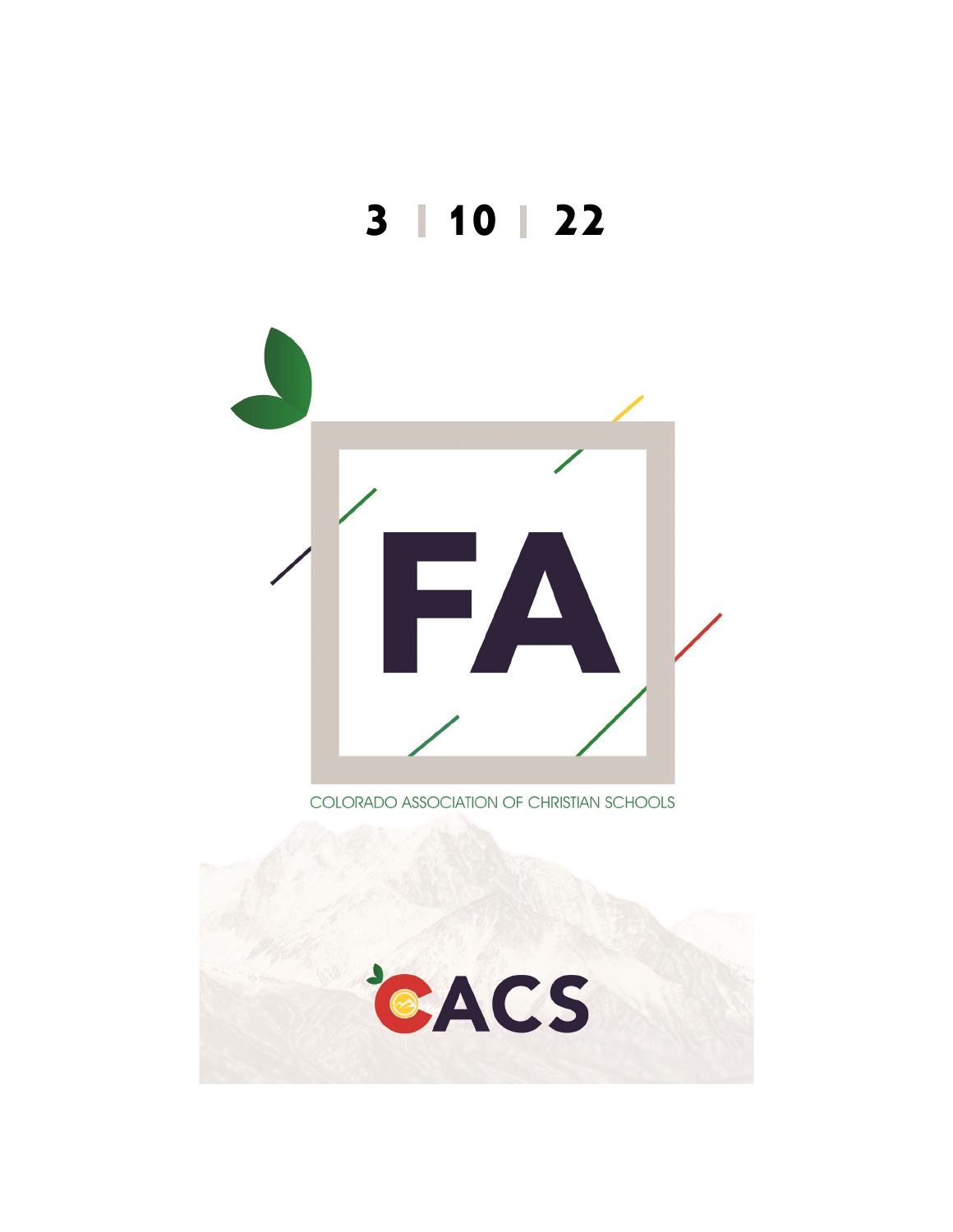



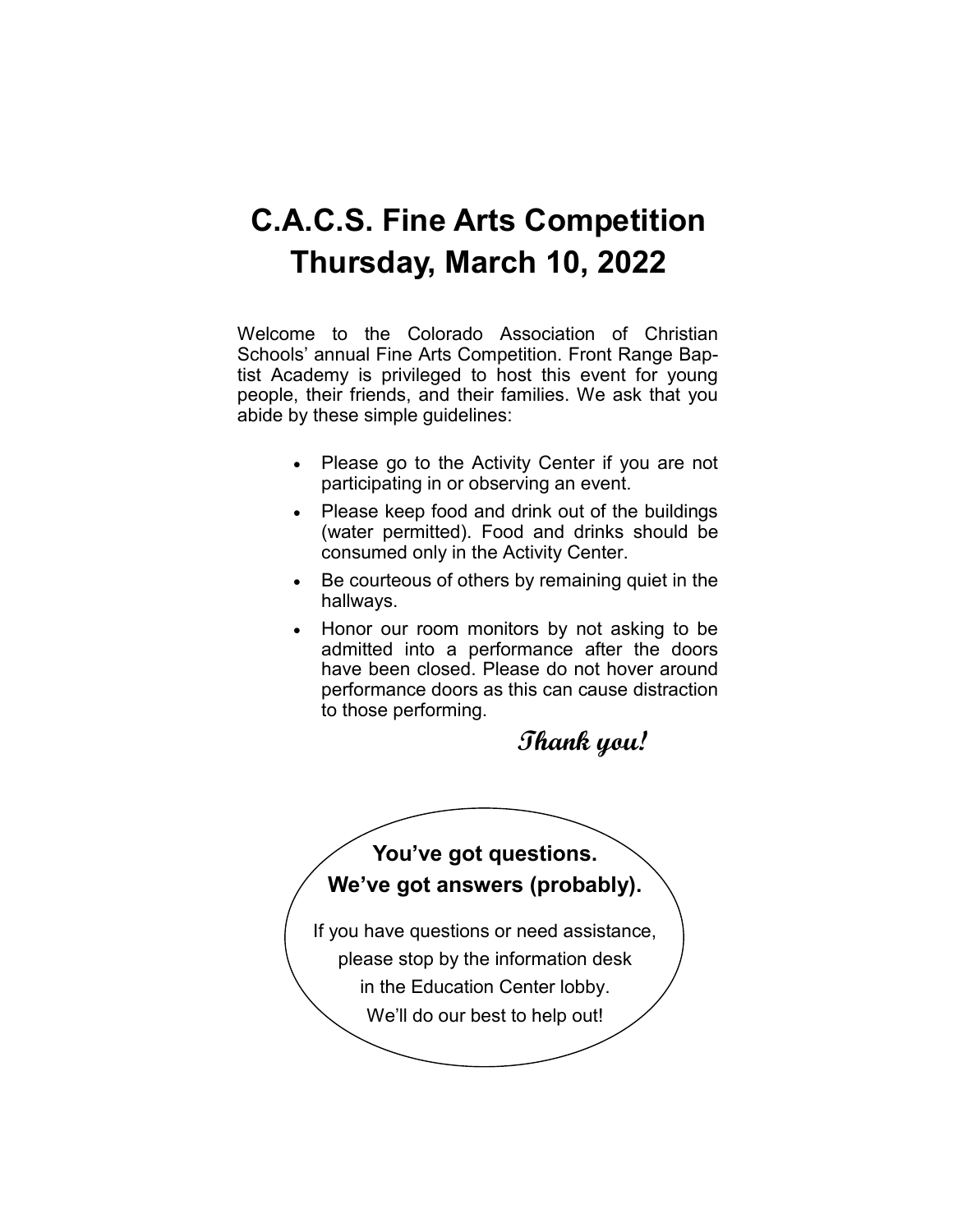## **C.A.C.S. Fine Arts Competition Thursday, March 10, 2022**

Welcome to the Colorado Association of Christian Schools' annual Fine Arts Competition. Front Range Baptist Academy is privileged to host this event for young people, their friends, and their families. We ask that you abide by these simple guidelines:

- Please go to the Activity Center if you are not participating in or observing an event.
- Please keep food and drink out of the buildings (water permitted). Food and drinks should be consumed only in the Activity Center.
- Be courteous of others by remaining quiet in the hallways.
- Honor our room monitors by not asking to be admitted into a performance after the doors have been closed. Please do not hover around performance doors as this can cause distraction to those performing.

### **Thank you!**

#### **You've got questions. We've got answers (probably).**

If you have questions or need assistance, please stop by the information desk in the Education Center lobby. We'll do our best to help out!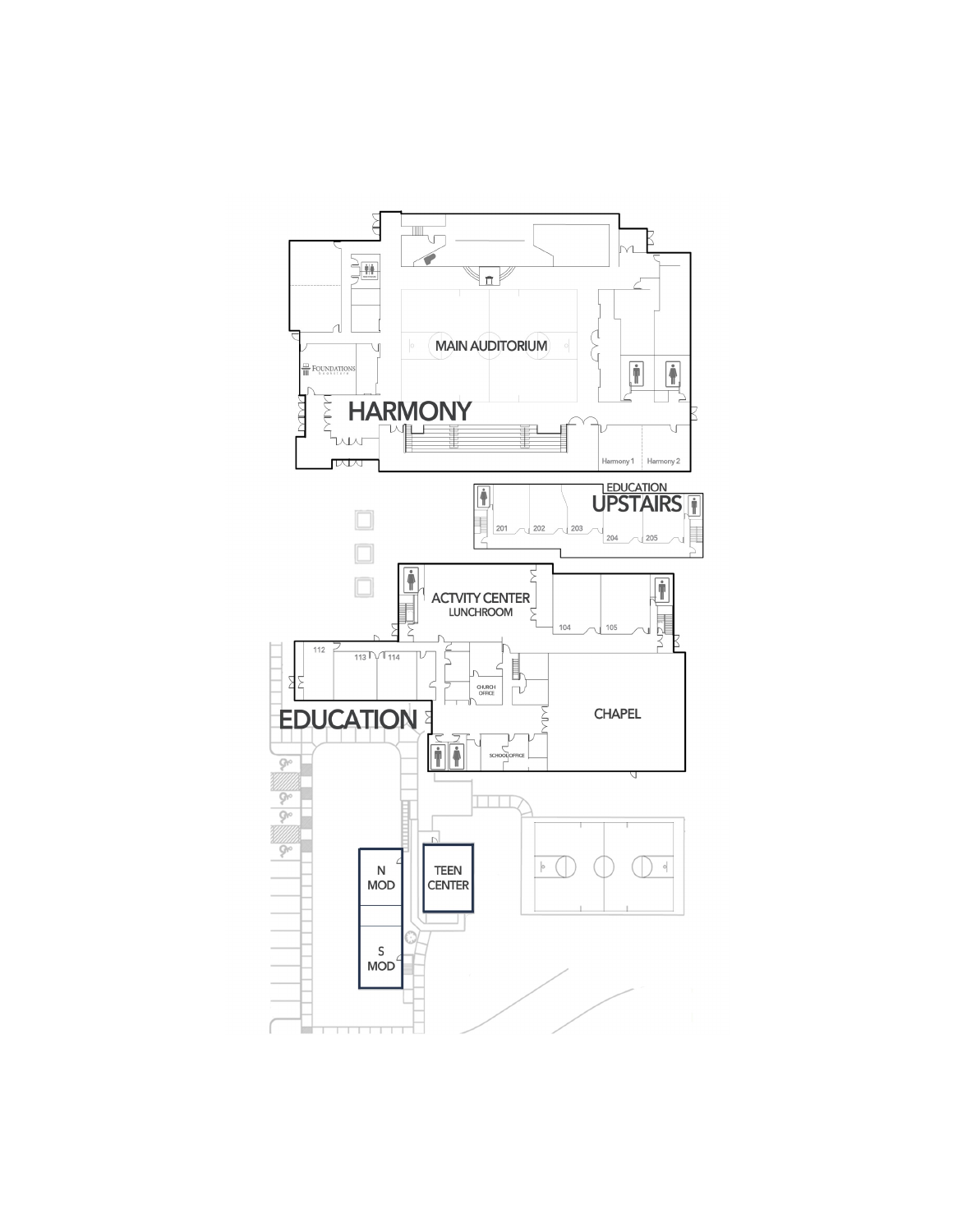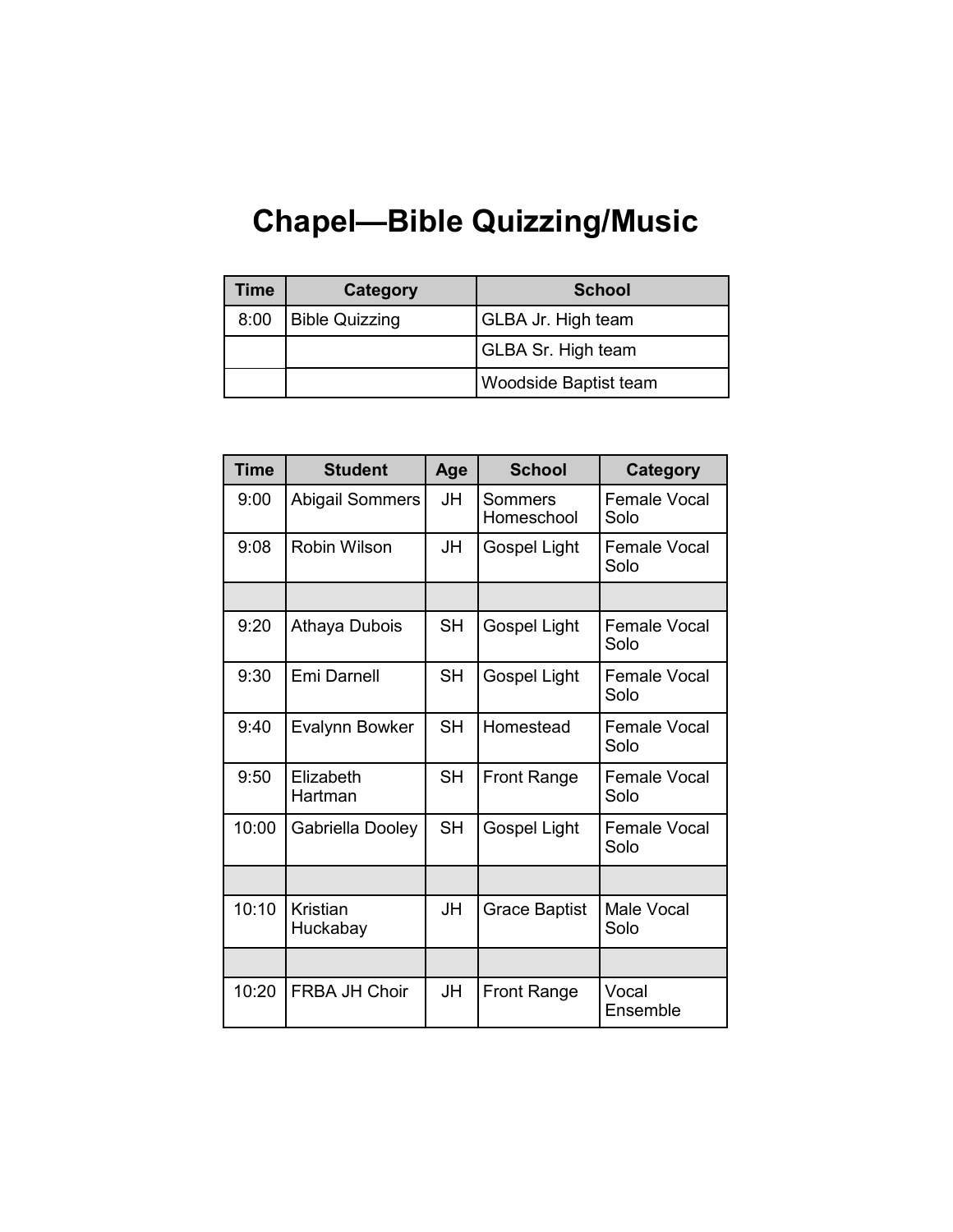# **Chapel—Bible Quizzing/Music**

| Time | Category              | <b>School</b>                |
|------|-----------------------|------------------------------|
| 8:00 | <b>Bible Quizzing</b> | <b>GLBA Jr. High team</b>    |
|      |                       | <b>GLBA Sr. High team</b>    |
|      |                       | <b>Woodside Baptist team</b> |

| <b>Time</b> | <b>Student</b>         | Age       | <b>School</b>         | Category                    |
|-------------|------------------------|-----------|-----------------------|-----------------------------|
| 9:00        | <b>Abigail Sommers</b> | JH        | Sommers<br>Homeschool | Female Vocal<br>Solo        |
| 9:08        | Robin Wilson           | JH.       | Gospel Light          | Female Vocal<br>Solo        |
|             |                        |           |                       |                             |
| 9:20        | Athaya Dubois          | <b>SH</b> | Gospel Light          | Female Vocal<br>Solo        |
| 9:30        | Emi Darnell            | <b>SH</b> | Gospel Light          | Female Vocal<br>Solo        |
| 9:40        | Evalynn Bowker         | <b>SH</b> | Homestead             | Female Vocal<br>Solo        |
| 9:50        | Elizabeth<br>Hartman   | <b>SH</b> | <b>Front Range</b>    | <b>Female Vocal</b><br>Solo |
| 10:00       | Gabriella Dooley       | <b>SH</b> | Gospel Light          | Female Vocal<br>Solo        |
|             |                        |           |                       |                             |
| 10:10       | Kristian<br>Huckabay   | JH        | <b>Grace Baptist</b>  | <b>Male Vocal</b><br>Solo   |
|             |                        |           |                       |                             |
| 10:20       | <b>FRBA JH Choir</b>   | JH        | <b>Front Range</b>    | Vocal<br>Ensemble           |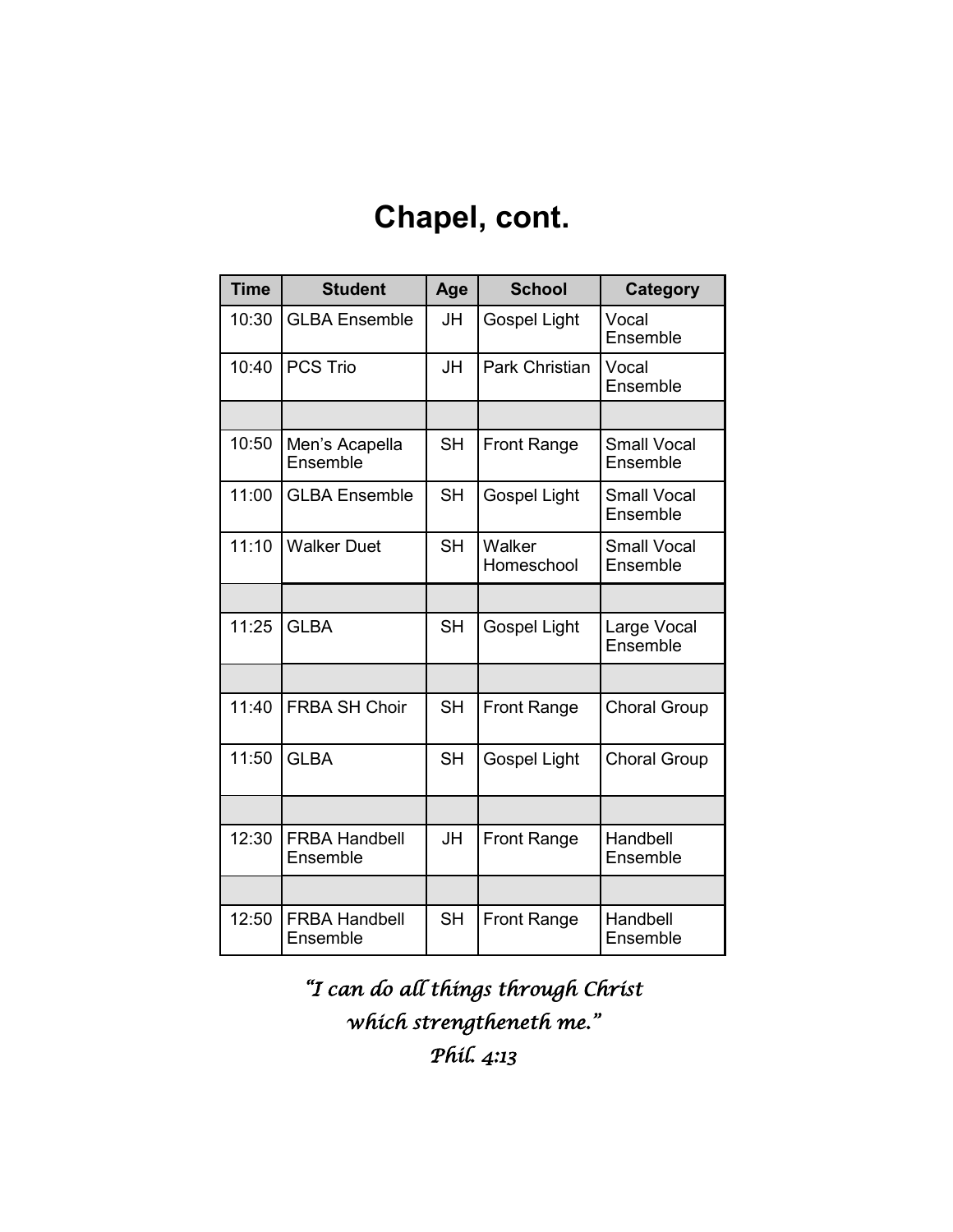## **Chapel, cont.**

| <b>Time</b> | <b>Student</b>                   | Age       | <b>School</b>        | Category                       |
|-------------|----------------------------------|-----------|----------------------|--------------------------------|
| 10:30       | <b>GLBA Ensemble</b>             | JH        | <b>Gospel Light</b>  | Vocal<br>Ensemble              |
| 10:40       | <b>PCS Trio</b>                  | <b>JH</b> | Park Christian       | Vocal<br>Ensemble              |
|             |                                  |           |                      |                                |
| 10:50       | Men's Acapella<br>Ensemble       | <b>SH</b> | <b>Front Range</b>   | <b>Small Vocal</b><br>Ensemble |
| 11:00       | <b>GLBA Ensemble</b>             | <b>SH</b> | <b>Gospel Light</b>  | <b>Small Vocal</b><br>Ensemble |
| 11:10       | <b>Walker Duet</b>               | <b>SH</b> | Walker<br>Homeschool | <b>Small Vocal</b><br>Ensemble |
|             |                                  |           |                      |                                |
| 11:25       | <b>GLBA</b>                      | <b>SH</b> | <b>Gospel Light</b>  | Large Vocal<br>Ensemble        |
|             |                                  |           |                      |                                |
| 11:40       | <b>FRBA SH Choir</b>             | <b>SH</b> | <b>Front Range</b>   | <b>Choral Group</b>            |
| 11:50       | <b>GLBA</b>                      | <b>SH</b> | <b>Gospel Light</b>  | <b>Choral Group</b>            |
|             |                                  |           |                      |                                |
| 12:30       | <b>FRBA Handbell</b><br>Ensemble | JH        | <b>Front Range</b>   | Handbell<br>Ensemble           |
|             |                                  |           |                      |                                |
| 12:50       | <b>FRBA Handbell</b><br>Ensemble | <b>SH</b> | <b>Front Range</b>   | Handbell<br>Ensemble           |

*"I can do all things through Christ which strengtheneth me." Phil. 4:13*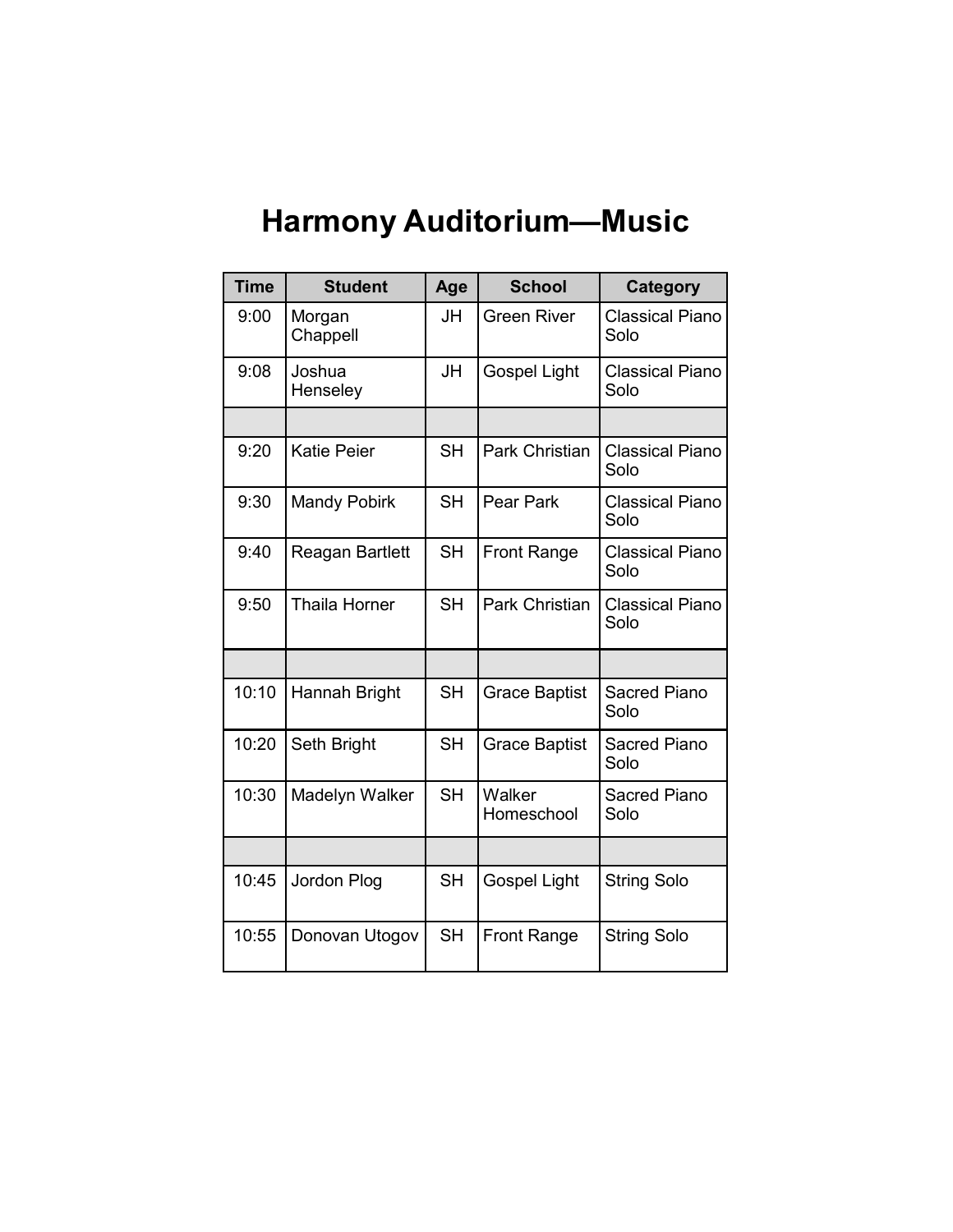# **Harmony Auditorium—Music**

| <b>Time</b> | <b>Student</b>       | Age       | <b>School</b>         | <b>Category</b>                |
|-------------|----------------------|-----------|-----------------------|--------------------------------|
| 9:00        | Morgan<br>Chappell   | JH        | <b>Green River</b>    | <b>Classical Piano</b><br>Solo |
| 9:08        | Joshua<br>Henseley   | <b>JH</b> | <b>Gospel Light</b>   | <b>Classical Piano</b><br>Solo |
|             |                      |           |                       |                                |
| 9:20        | <b>Katie Peier</b>   | <b>SH</b> | Park Christian        | <b>Classical Piano</b><br>Solo |
| 9:30        | <b>Mandy Pobirk</b>  | <b>SH</b> | Pear Park             | <b>Classical Piano</b><br>Solo |
| 9:40        | Reagan Bartlett      | <b>SH</b> | <b>Front Range</b>    | <b>Classical Piano</b><br>Solo |
| 9:50        | <b>Thaila Horner</b> | <b>SH</b> | <b>Park Christian</b> | <b>Classical Piano</b><br>Solo |
|             |                      |           |                       |                                |
| 10:10       | Hannah Bright        | <b>SH</b> | <b>Grace Baptist</b>  | <b>Sacred Piano</b><br>Solo    |
| 10:20       | Seth Bright          | <b>SH</b> | <b>Grace Baptist</b>  | <b>Sacred Piano</b><br>Solo    |
| 10:30       | Madelyn Walker       | <b>SH</b> | Walker<br>Homeschool  | <b>Sacred Piano</b><br>Solo    |
|             |                      |           |                       |                                |
| 10:45       | Jordon Plog          | <b>SH</b> | <b>Gospel Light</b>   | <b>String Solo</b>             |
| 10:55       | Donovan Utogov       | <b>SH</b> | <b>Front Range</b>    | <b>String Solo</b>             |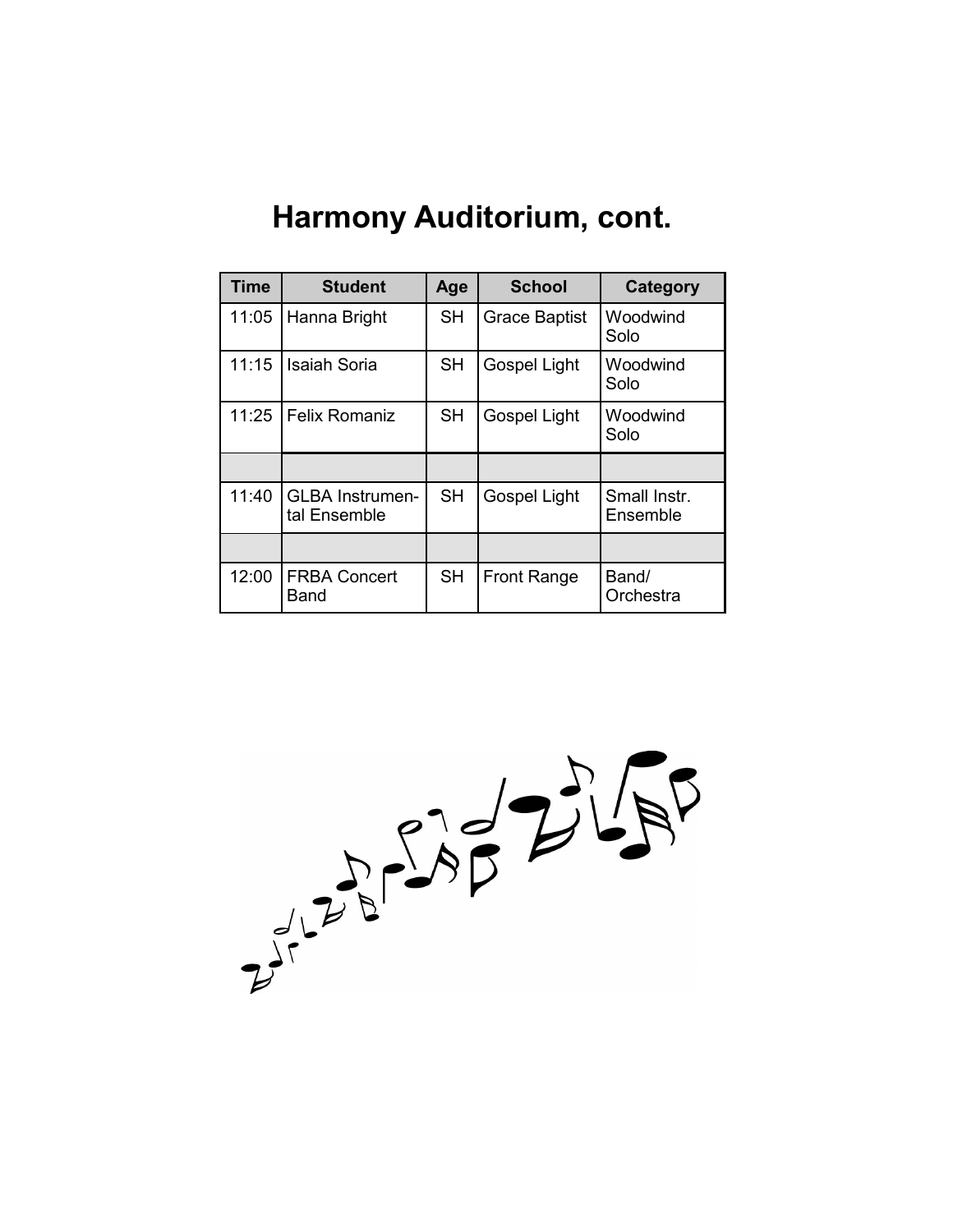| <b>Time</b> | <b>Student</b>                         | Age       | <b>School</b>        | Category                 |
|-------------|----------------------------------------|-----------|----------------------|--------------------------|
| 11:05       | Hanna Bright                           | <b>SH</b> | <b>Grace Baptist</b> | Woodwind<br>Solo         |
| 11:15       | <b>Isaiah Soria</b>                    | <b>SH</b> | Gospel Light         | Woodwind<br>Solo         |
| 11:25       | <b>Felix Romaniz</b>                   | <b>SH</b> | Gospel Light         | Woodwind<br>Solo         |
|             |                                        |           |                      |                          |
| 11:40       | <b>GLBA Instrumen-</b><br>tal Ensemble | <b>SH</b> | Gospel Light         | Small Instr.<br>Ensemble |
|             |                                        |           |                      |                          |
| 12:00       | <b>FRBA Concert</b><br>Band            | <b>SH</b> | <b>Front Range</b>   | Band/<br>Orchestra       |

### **Harmony Auditorium, cont.**

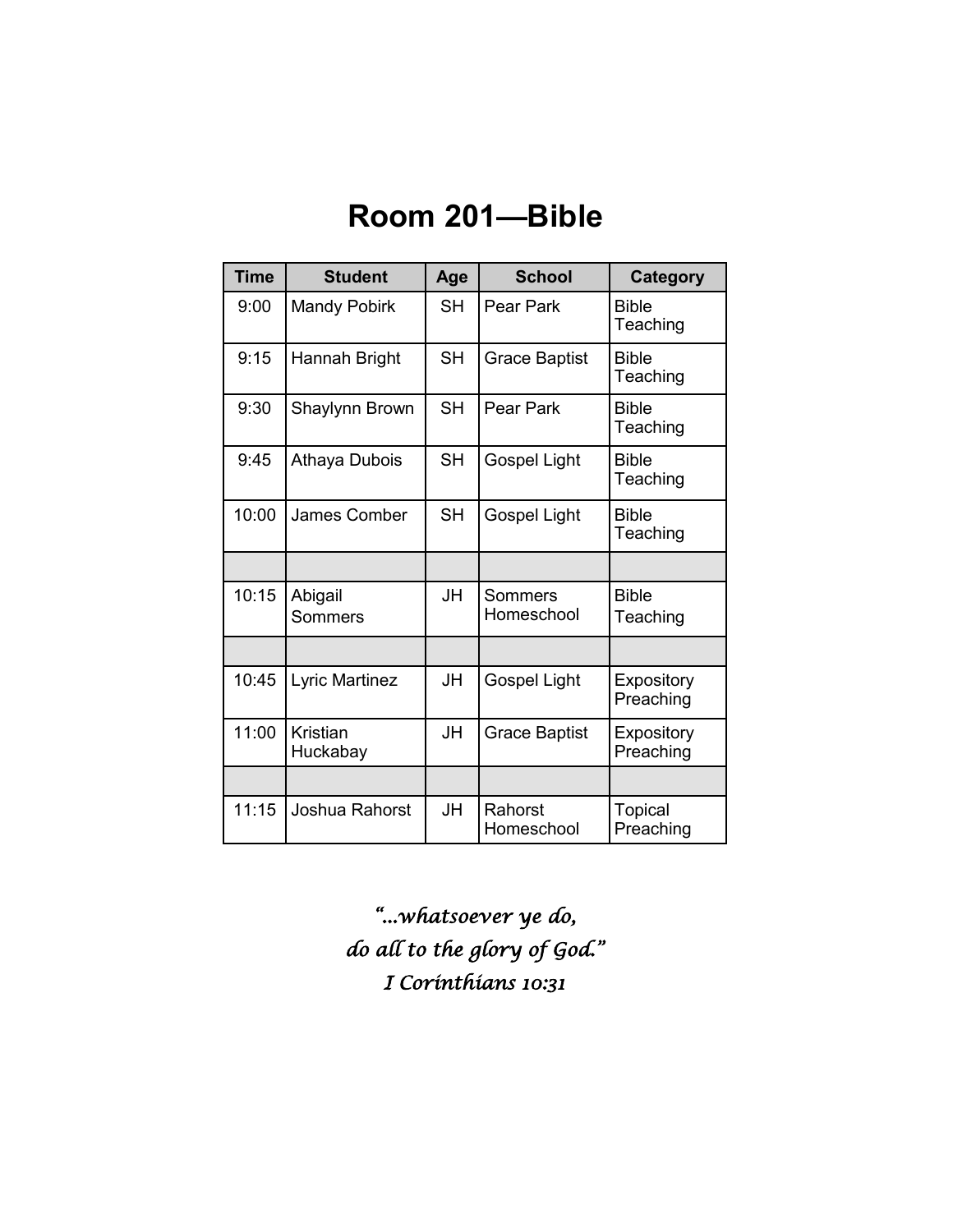### **Room 201—Bible**

| <b>Time</b> | <b>Student</b>              | Age       | <b>School</b>         | <b>Category</b>          |
|-------------|-----------------------------|-----------|-----------------------|--------------------------|
| 9:00        | <b>Mandy Pobirk</b>         | <b>SH</b> | Pear Park             | <b>Bible</b><br>Teaching |
| 9:15        | Hannah Bright               | <b>SH</b> | <b>Grace Baptist</b>  | <b>Bible</b><br>Teaching |
| 9:30        | Shaylynn Brown              | <b>SH</b> | Pear Park             | <b>Bible</b><br>Teaching |
| 9:45        | Athaya Dubois               | <b>SH</b> | Gospel Light          | <b>Bible</b><br>Teaching |
| 10:00       | James Comber                | <b>SH</b> | Gospel Light          | <b>Bible</b><br>Teaching |
|             |                             |           |                       |                          |
| 10:15       | Abigail<br>Sommers          | JH        | Sommers<br>Homeschool | <b>Bible</b><br>Teaching |
|             |                             |           |                       |                          |
| 10:45       | Lyric Martinez              | JH        | Gospel Light          | Expository<br>Preaching  |
| 11:00       | <b>Kristian</b><br>Huckabay | JH        | <b>Grace Baptist</b>  | Expository<br>Preaching  |
|             |                             |           |                       |                          |
| 11:15       | Joshua Rahorst              | JH        | Rahorst<br>Homeschool | Topical<br>Preaching     |

*"...whatsoever ye do, do all to the glory of God." I Corinthians 10:31*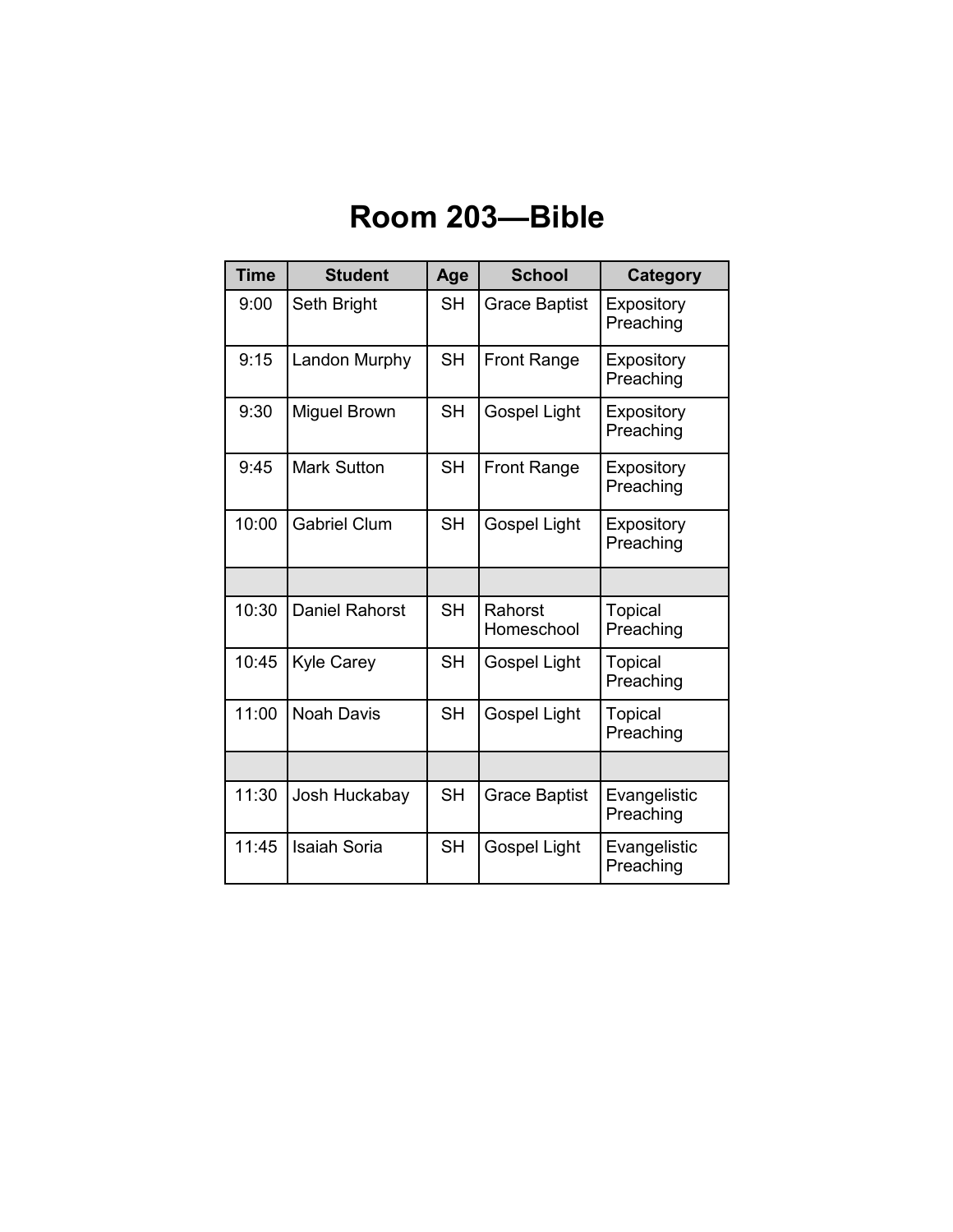## **Room 203—Bible**

| <b>Time</b> | <b>Student</b>        | Age       | <b>School</b>         | Category                    |
|-------------|-----------------------|-----------|-----------------------|-----------------------------|
| 9:00        | Seth Bright           | <b>SH</b> | <b>Grace Baptist</b>  | Expository<br>Preaching     |
| 9:15        | Landon Murphy         | <b>SH</b> | <b>Front Range</b>    | Expository<br>Preaching     |
| 9:30        | Miguel Brown          | <b>SH</b> | Gospel Light          | Expository<br>Preaching     |
| 9:45        | <b>Mark Sutton</b>    | <b>SH</b> | <b>Front Range</b>    | Expository<br>Preaching     |
| 10:00       | <b>Gabriel Clum</b>   | <b>SH</b> | Gospel Light          | Expository<br>Preaching     |
|             |                       |           |                       |                             |
| 10:30       | <b>Daniel Rahorst</b> | <b>SH</b> | Rahorst<br>Homeschool | Topical<br>Preaching        |
| 10:45       | <b>Kyle Carey</b>     | <b>SH</b> | Gospel Light          | <b>Topical</b><br>Preaching |
| 11:00       | <b>Noah Davis</b>     | SН        | Gospel Light          | Topical<br>Preaching        |
|             |                       |           |                       |                             |
| 11:30       | Josh Huckabay         | <b>SH</b> | <b>Grace Baptist</b>  | Evangelistic<br>Preaching   |
| 11:45       | <b>Isaiah Soria</b>   | <b>SH</b> | <b>Gospel Light</b>   | Evangelistic<br>Preaching   |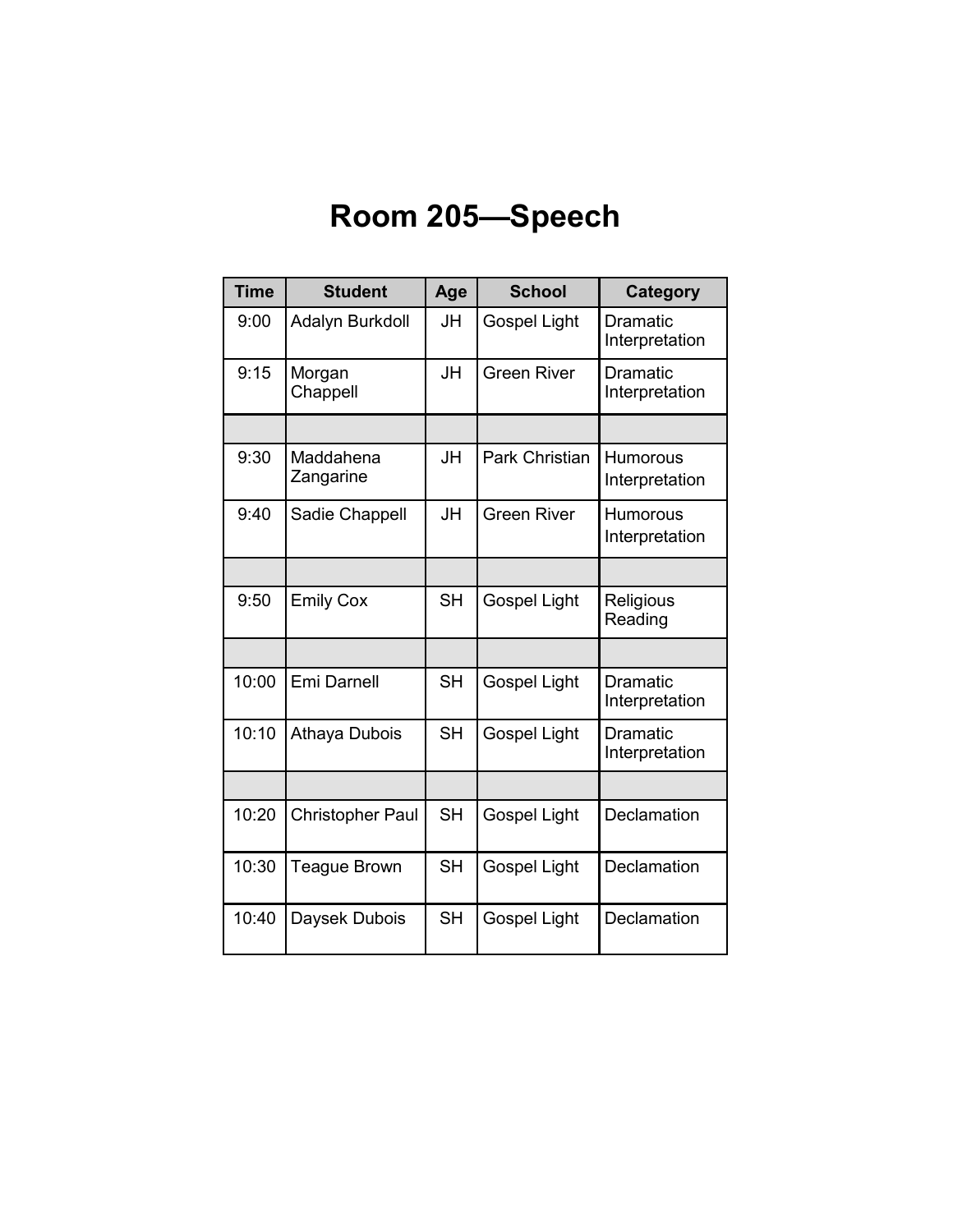# **Room 205—Speech**

| <b>Time</b> | <b>Student</b>          | Age       | <b>School</b>       | Category                          |
|-------------|-------------------------|-----------|---------------------|-----------------------------------|
| 9:00        | Adalyn Burkdoll         | JH        | Gospel Light        | <b>Dramatic</b><br>Interpretation |
| 9:15        | Morgan<br>Chappell      | <b>JH</b> | <b>Green River</b>  | <b>Dramatic</b><br>Interpretation |
|             |                         |           |                     |                                   |
| 9:30        | Maddahena<br>Zangarine  | JH        | Park Christian      | Humorous<br>Interpretation        |
| 9:40        | Sadie Chappell          | <b>JH</b> | <b>Green River</b>  | Humorous<br>Interpretation        |
|             |                         |           |                     |                                   |
| 9:50        | <b>Emily Cox</b>        | <b>SH</b> | <b>Gospel Light</b> | Religious<br>Reading              |
|             |                         |           |                     |                                   |
| 10:00       | Emi Darnell             | <b>SH</b> | Gospel Light        | <b>Dramatic</b><br>Interpretation |
| 10:10       | Athaya Dubois           | <b>SH</b> | <b>Gospel Light</b> | <b>Dramatic</b><br>Interpretation |
|             |                         |           |                     |                                   |
| 10:20       | <b>Christopher Paul</b> | <b>SH</b> | <b>Gospel Light</b> | Declamation                       |
| 10:30       | <b>Teague Brown</b>     | <b>SH</b> | Gospel Light        | Declamation                       |
| 10:40       | Daysek Dubois           | <b>SH</b> | Gospel Light        | Declamation                       |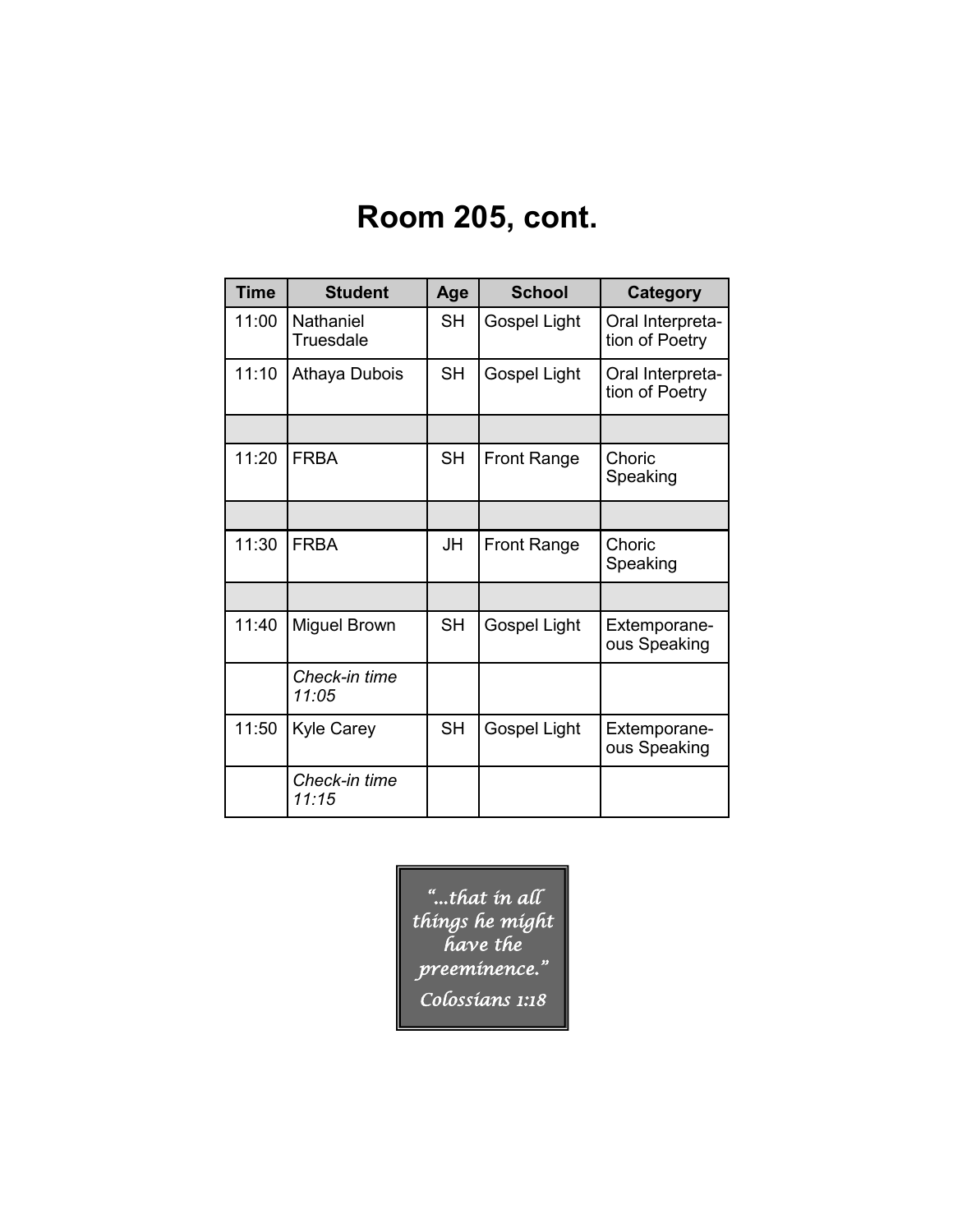## **Room 205, cont.**

| <b>Time</b> | <b>Student</b>         | Age       | <b>School</b>      | <b>Category</b>                    |
|-------------|------------------------|-----------|--------------------|------------------------------------|
| 11:00       | Nathaniel<br>Truesdale | SH        | Gospel Light       | Oral Interpreta-<br>tion of Poetry |
| 11:10       | Athaya Dubois          | <b>SH</b> | Gospel Light       | Oral Interpreta-<br>tion of Poetry |
|             |                        |           |                    |                                    |
| 11:20       | <b>FRBA</b>            | <b>SH</b> | <b>Front Range</b> | Choric<br>Speaking                 |
|             |                        |           |                    |                                    |
| 11:30       | <b>FRBA</b>            | JH        | <b>Front Range</b> | Choric<br>Speaking                 |
|             |                        |           |                    |                                    |
| 11:40       | <b>Miguel Brown</b>    | <b>SH</b> | Gospel Light       | Extemporane-<br>ous Speaking       |
|             | Check-in time<br>11:05 |           |                    |                                    |
| 11:50       | <b>Kyle Carey</b>      | <b>SH</b> | Gospel Light       | Extemporane-<br>ous Speaking       |
|             | Check-in time<br>11:15 |           |                    |                                    |

*"...that in all things he might have the preeminence." Colossians 1:18*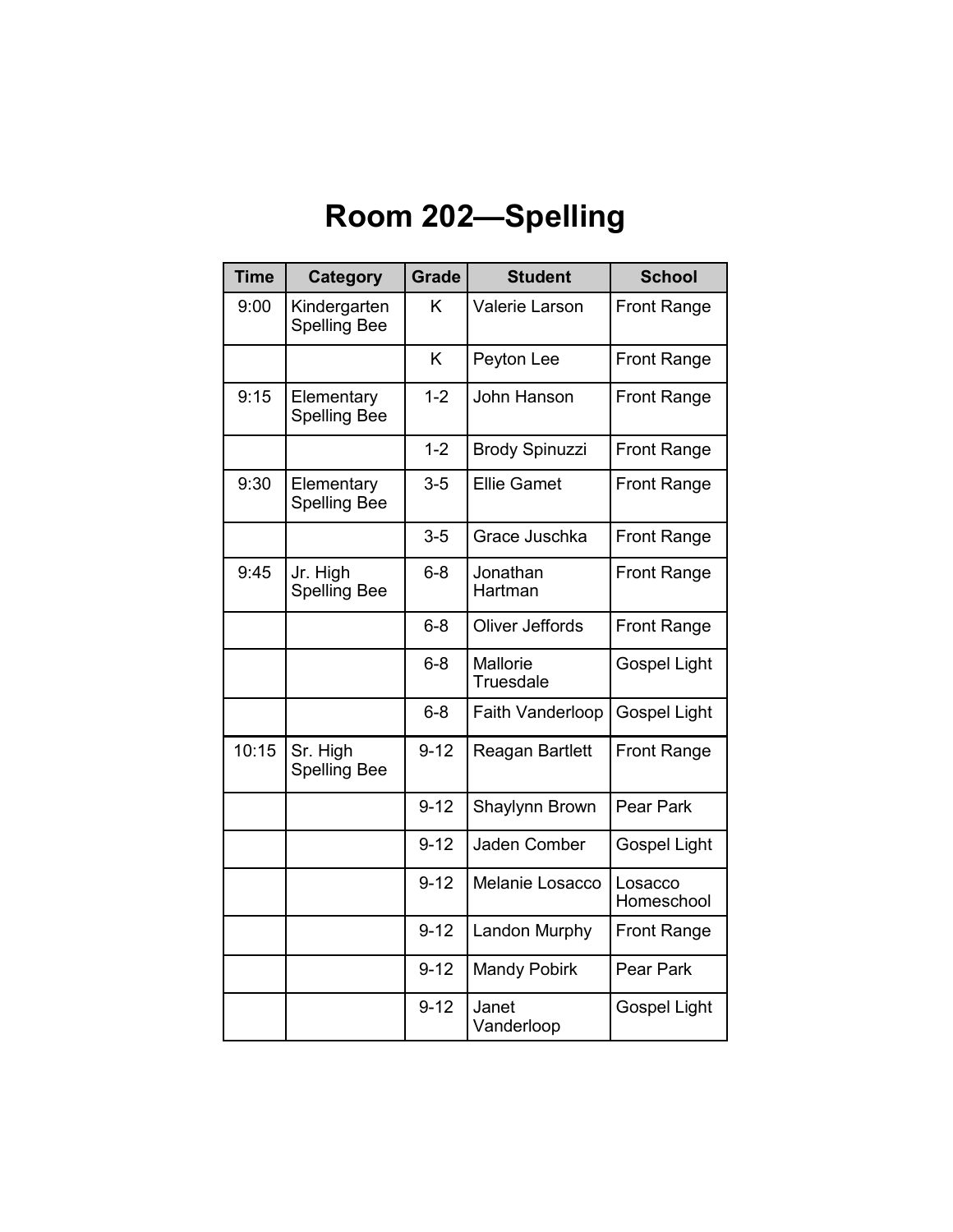# **Room 202—Spelling**

| <b>Time</b> | Category                            | <b>Grade</b> | <b>Student</b>        | <b>School</b>         |
|-------------|-------------------------------------|--------------|-----------------------|-----------------------|
| 9:00        | Kindergarten<br><b>Spelling Bee</b> | K            | Valerie Larson        | <b>Front Range</b>    |
|             |                                     | K            | Peyton Lee            | <b>Front Range</b>    |
| 9:15        | Elementary<br><b>Spelling Bee</b>   | $1 - 2$      | John Hanson           | <b>Front Range</b>    |
|             |                                     | $1 - 2$      | <b>Brody Spinuzzi</b> | <b>Front Range</b>    |
| 9:30        | Elementary<br><b>Spelling Bee</b>   | $3 - 5$      | <b>Ellie Gamet</b>    | <b>Front Range</b>    |
|             |                                     | $3 - 5$      | Grace Juschka         | <b>Front Range</b>    |
| 9:45        | Jr. High<br><b>Spelling Bee</b>     | $6 - 8$      | Jonathan<br>Hartman   | <b>Front Range</b>    |
|             |                                     | $6 - 8$      | Oliver Jeffords       | <b>Front Range</b>    |
|             |                                     | $6 - 8$      | Mallorie<br>Truesdale | <b>Gospel Light</b>   |
|             |                                     | $6 - 8$      | Faith Vanderloop      | <b>Gospel Light</b>   |
| 10:15       | Sr. High<br><b>Spelling Bee</b>     | $9 - 12$     | Reagan Bartlett       | <b>Front Range</b>    |
|             |                                     | $9 - 12$     | Shaylynn Brown        | Pear Park             |
|             |                                     | $9 - 12$     | Jaden Comber          | <b>Gospel Light</b>   |
|             |                                     | $9 - 12$     | Melanie Losacco       | Losacco<br>Homeschool |
|             |                                     | $9 - 12$     | <b>Landon Murphy</b>  | <b>Front Range</b>    |
|             |                                     | $9 - 12$     | <b>Mandy Pobirk</b>   | Pear Park             |
|             |                                     | $9 - 12$     | Janet<br>Vanderloop   | <b>Gospel Light</b>   |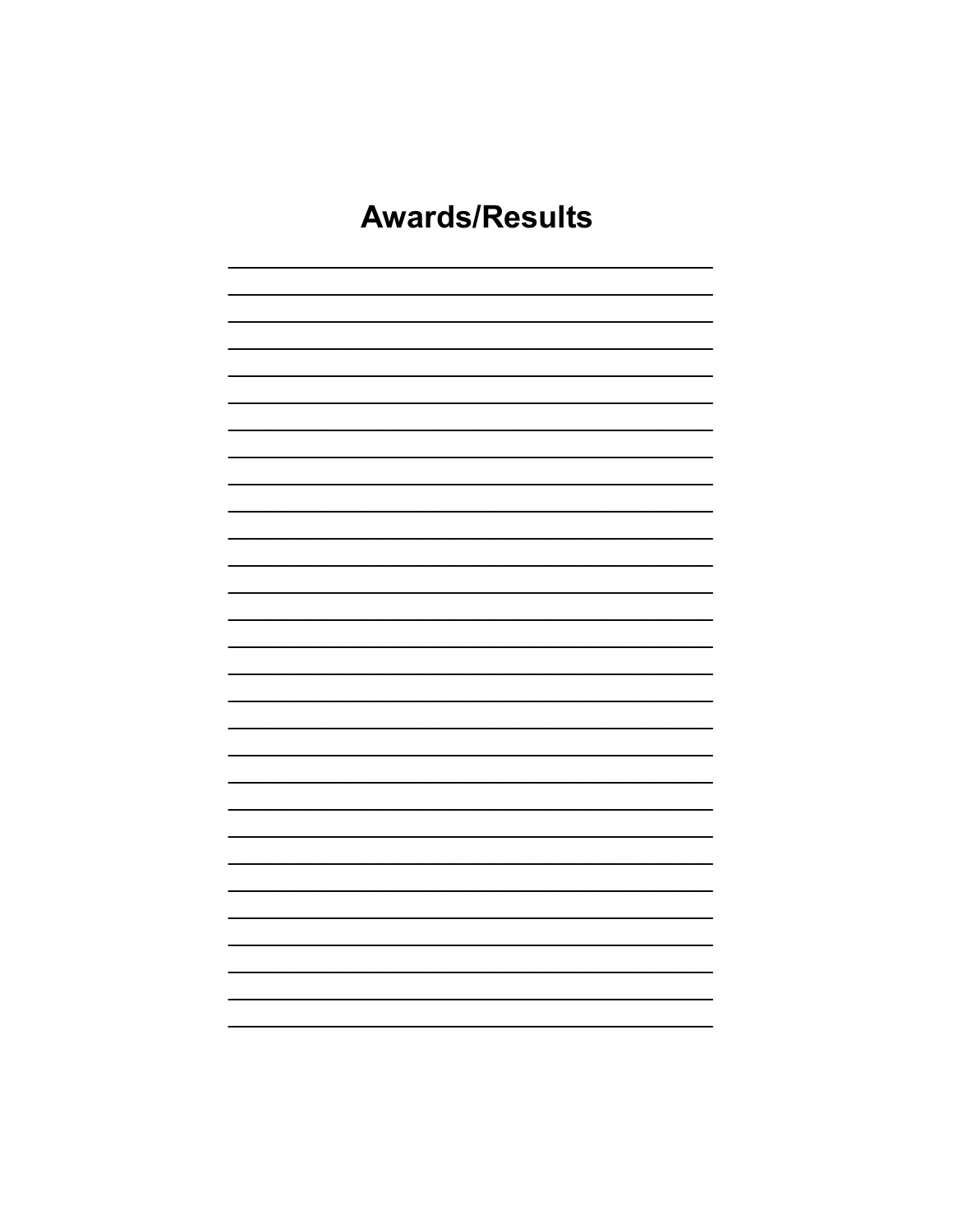## **Awards/Results**

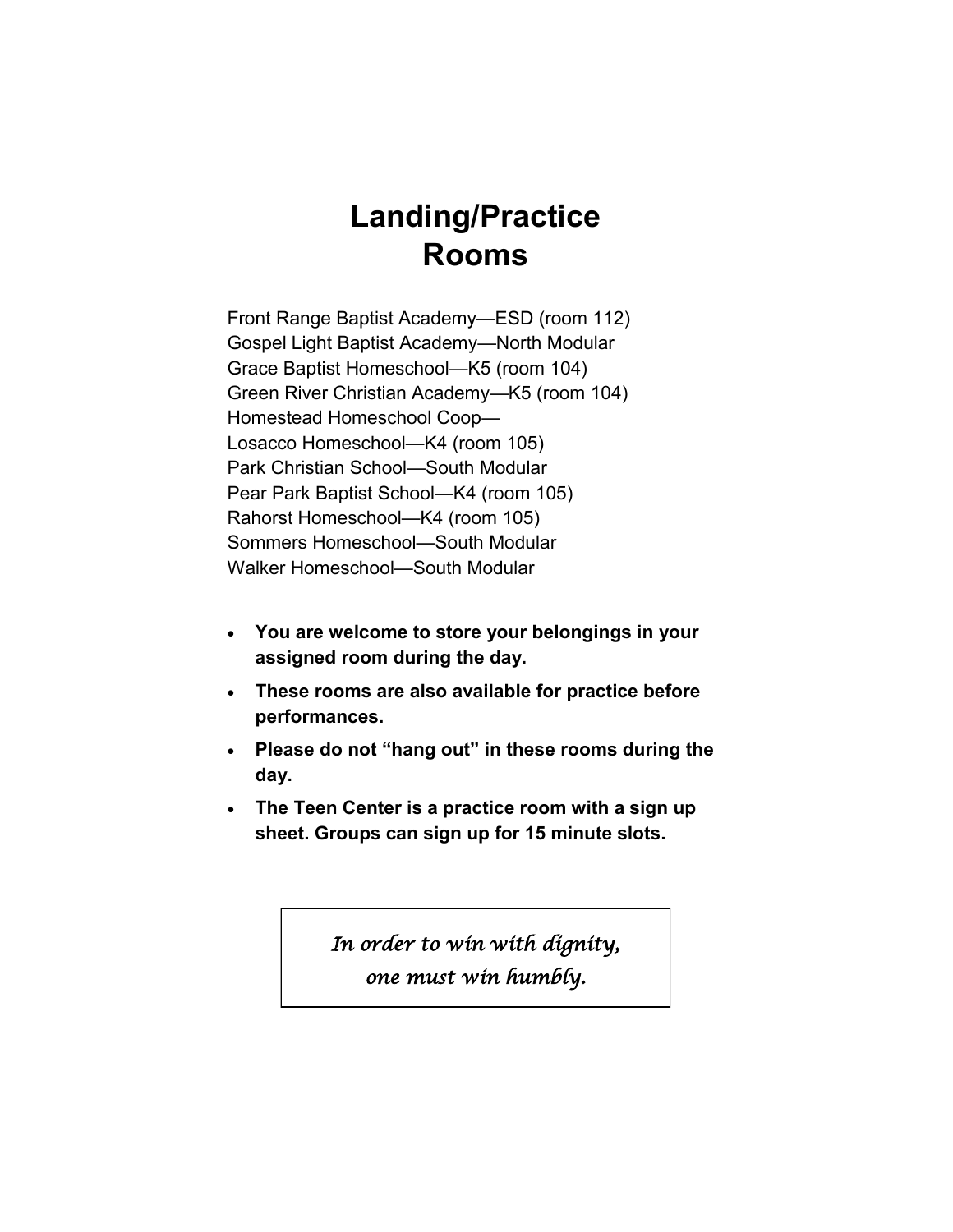### **Landing/Practice Rooms**

Front Range Baptist Academy—ESD (room 112) Gospel Light Baptist Academy—North Modular Grace Baptist Homeschool—K5 (room 104) Green River Christian Academy—K5 (room 104) Homestead Homeschool Coop— Losacco Homeschool—K4 (room 105) Park Christian School—South Modular Pear Park Baptist School—K4 (room 105) Rahorst Homeschool—K4 (room 105) Sommers Homeschool—South Modular Walker Homeschool—South Modular

- **You are welcome to store your belongings in your assigned room during the day.**
- **These rooms are also available for practice before performances.**
- **Please do not "hang out" in these rooms during the day.**
- **The Teen Center is a practice room with a sign up sheet. Groups can sign up for 15 minute slots.**

*In order to win with dignity, one must win humbly.*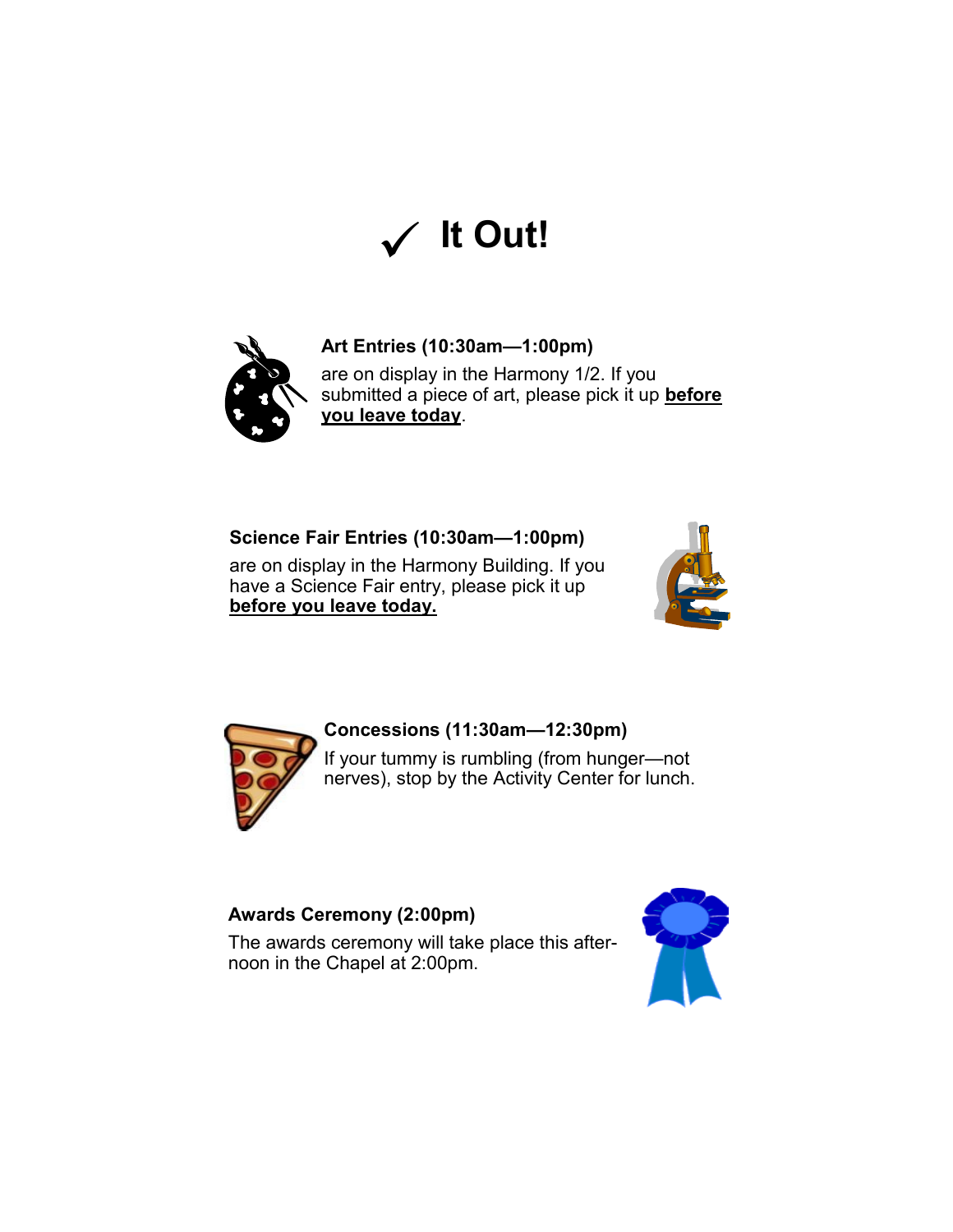



#### **Art Entries (10:30am—1:00pm)**

are on display in the Harmony 1/2. If you submitted a piece of art, please pick it up **before you leave today**.

#### **Science Fair Entries (10:30am—1:00pm)**

are on display in the Harmony Building. If you have a Science Fair entry, please pick it up **before you leave today.** 





#### **Concessions (11:30am—12:30pm)**

If your tummy is rumbling (from hunger—not nerves), stop by the Activity Center for lunch.

#### **Awards Ceremony (2:00pm)**

The awards ceremony will take place this afternoon in the Chapel at 2:00pm.